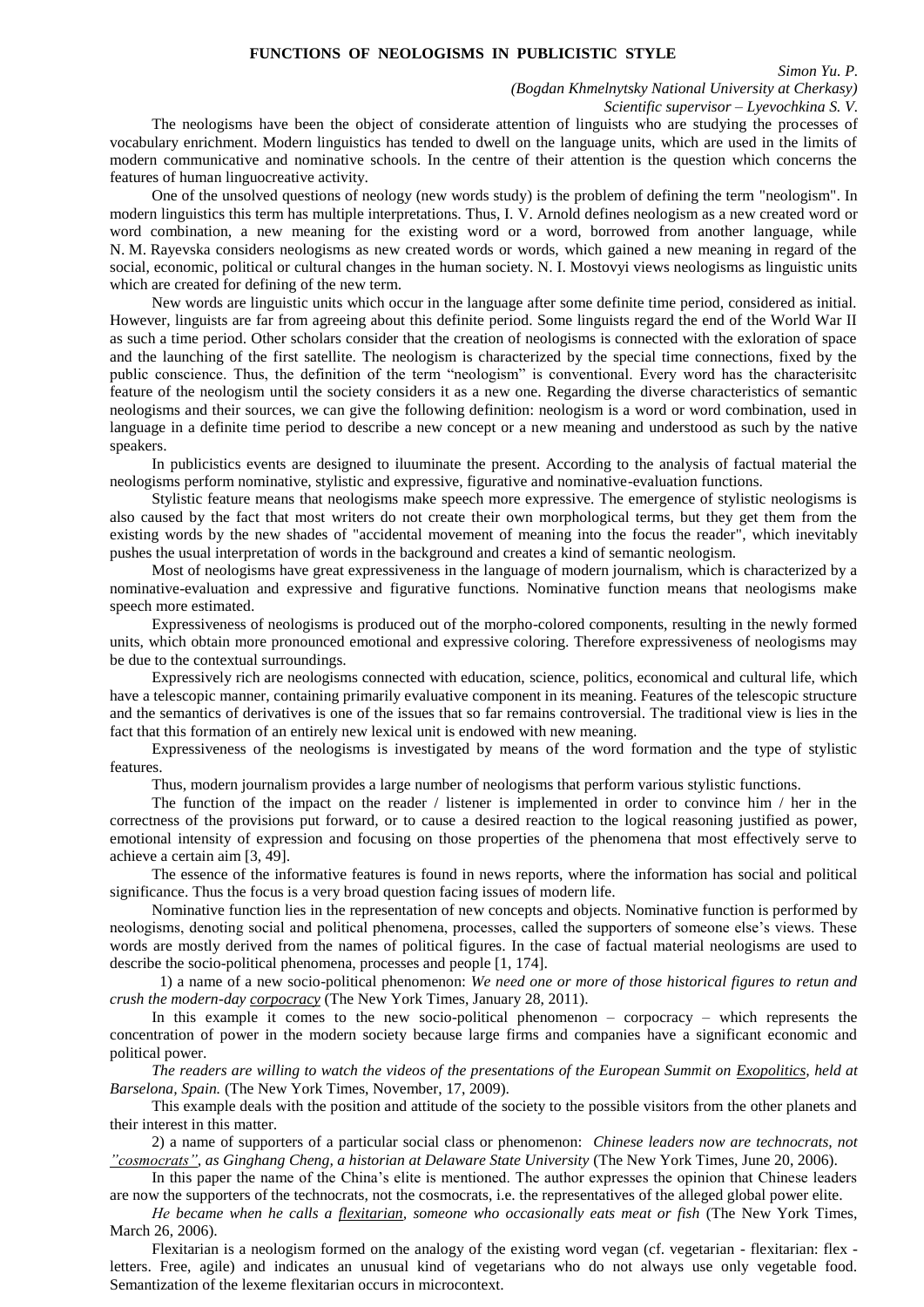## **FUNCTIONS OF NEOLOGISMS IN PUBLICISTIC STYLE**

*Simon Yu. P.*

*(Bogdan Khmelnytsky National University at Cherkasy)*

*Scientific supervisor – Lyevochkina S. V.*

The neologisms have been the object of considerate attention of linguists who are studying the processes of vocabulary enrichment. Modern linguistics has tended to dwell on the language units, which are used in the limits of modern communicative and nominative schools. In the centre of their attention is the question which concerns the features of human linguocreative activity.

One of the unsolved questions of neology (new words study) is the problem of defining the term "neologism". In modern linguistics this term has multiple interpretations. Thus, I. V. Arnold defines neologism as a new created word or word combination, a new meaning for the existing word or a word, borrowed from another language, while N. M. Rayevska considers neologisms as new created words or words, which gained a new meaning in regard of the social, economic, political or cultural changes in the human society. N. I. Mostovyi views neologisms as linguistic units which are created for defining of the new term.

New words are linguistic units which occur in the language after some definite time period, considered as initial. However, linguists are far from agreeing about this definite period. Some linguists regard the end of the World War II as such a time period. Other scholars consider that the creation of neologisms is connected with the exloration of space and the launching of the first satellite. The neologism is characterized by the special time connections, fixed by the public conscience. Thus, the definition of the term "neologism" is conventional. Every word has the characterisitc feature of the neologism until the society considers it as a new one. Regarding the diverse characteristics of semantic neologisms and their sources, we can give the following definition: neologism is a word or word combination, used in language in a definite time period to describe a new concept or a new meaning and understood as such by the native speakers.

In publicistics events are designed to iluuminate the present. According to the analysis of factual material the neologisms perform nominative, stylistic and expressive, figurative and nominative-evaluation functions.

Stylistic feature means that neologisms make speech more expressive. The emergence of stylistic neologisms is also caused by the fact that most writers do not create their own morphological terms, but they get them from the existing words by the new shades of "accidental movement of meaning into the focus the reader", which inevitably pushes the usual interpretation of words in the background and creates a kind of semantic neologism.

Most of neologisms have great expressiveness in the language of modern journalism, which is characterized by a nominative-evaluation and expressive and figurative functions. Nominative function means that neologisms make speech more estimated.

Expressiveness of neologisms is produced out of the morpho-colored components, resulting in the newly formed units, which obtain more pronounced emotional and expressive coloring. Therefore expressiveness of neologisms may be due to the contextual surroundings.

Expressively rich are neologisms connected with education, science, politics, economical and cultural life, which have a telescopic manner, containing primarily evaluative component in its meaning. Features of the telescopic structure and the semantics of derivatives is one of the issues that so far remains controversial. The traditional view is lies in the fact that this formation of an entirely new lexical unit is endowed with new meaning.

Expressiveness of the neologisms is investigated by means of the word formation and the type of stylistic features.

Thus, modern journalism provides a large number of neologisms that perform various stylistic functions.

The function of the impact on the reader / listener is implemented in order to convince him / her in the correctness of the provisions put forward, or to cause a desired reaction to the logical reasoning justified as power, emotional intensity of expression and focusing on those properties of the phenomena that most effectively serve to achieve a certain aim [3, 49].

The essence of the informative features is found in news reports, where the information has social and political significance. Thus the focus is a very broad question facing issues of modern life.

Nominative function lies in the representation of new concepts and objects. Nominative function is performed by neologisms, denoting social and political phenomena, processes, called the supporters of someone else's views. These words are mostly derived from the names of political figures. In the case of factual material neologisms are used to describe the socio-political phenomena, processes and people [1, 174].

 1) a name of a new socio-political phenomenon: *We need one or more of those historical figures to retun and crush the modern-day corpocracy* (The New York Times, January 28, 2011).

In this example it comes to the new socio-political phenomenon – corpocracy – which represents the concentration of power in the modern society because large firms and companies have a significant economic and political power.

*The readers are willing to watch the videos of the presentations of the European Summit on Exopolitics, held at Barselona, Spain.* (The New York Times, November, 17, 2009).

This example deals with the position and attitude of the society to the possible visitors from the other planets and their interest in this matter.

2) a name of supporters of a particular social class or phenomenon: *Chinese leaders now are technocrats, not "cosmocrats", as Ginghang Cheng, a historian at Delaware State University* (The New York Times, June 20, 2006).

In this paper the name of the China's elite is mentioned. The author expresses the opinion that Chinese leaders are now the supporters of the technocrats, not the cosmocrats, i.e. the representatives of the alleged global power elite.

*Не became when he calls a flexitarian, someone who occasionally eats meat or fish* (The New York Times, March 26, 2006).

Flexitarian is a neologism formed on the analogy of the existing word vegan (cf. vegetarian - flexitarian: flex letters. Free, agile) and indicates an unusual kind of vegetarians who do not always use only vegetable food. Semantization of the lexeme flexitarian occurs in microcontext.